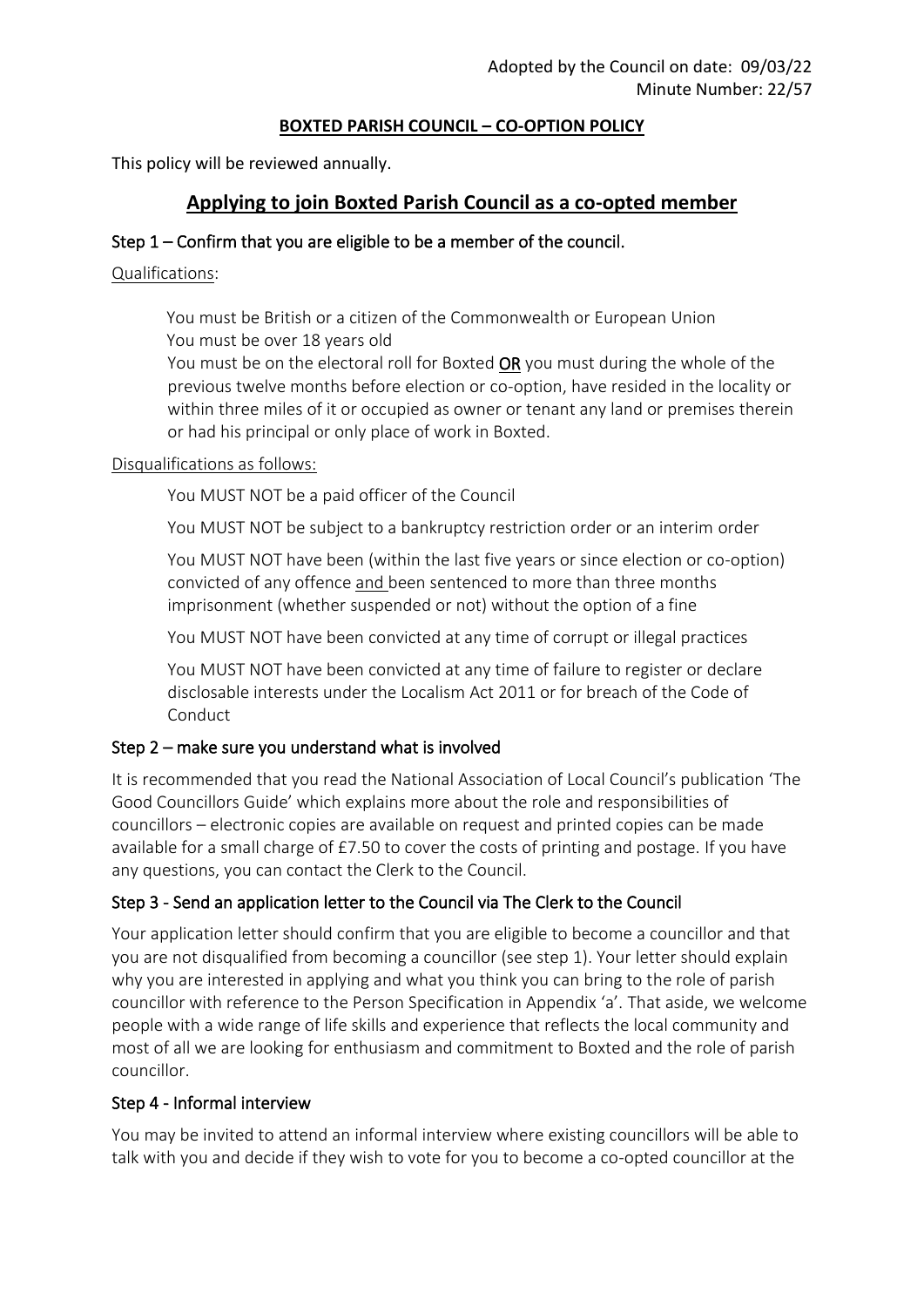#### **BOXTED PARISH COUNCIL – CO-OPTION POLICY**

This policy will be reviewed annually.

# **Applying to join Boxted Parish Council as a co-opted member**

### Step 1 – Confirm that you are eligible to be a member of the council.

Qualifications:

You must be British or a citizen of the Commonwealth or European Union You must be over 18 years old

You must be on the electoral roll for Boxted OR you must during the whole of the previous twelve months before election or co-option, have resided in the locality or within three miles of it or occupied as owner or tenant any land or premises therein or had his principal or only place of work in Boxted.

#### Disqualifications as follows:

You MUST NOT be a paid officer of the Council

You MUST NOT be subject to a bankruptcy restriction order or an interim order

You MUST NOT have been (within the last five years or since election or co-option) convicted of any offence and been sentenced to more than three months imprisonment (whether suspended or not) without the option of a fine

You MUST NOT have been convicted at any time of corrupt or illegal practices

You MUST NOT have been convicted at any time of failure to register or declare disclosable interests under the Localism Act 2011 or for breach of the Code of **Conduct** 

# Step 2 – make sure you understand what is involved

It is recommended that you read the National Association of Local Council's publication 'The Good Councillors Guide' which explains more about the role and responsibilities of councillors – electronic copies are available on request and printed copies can be made available for a small charge of £7.50 to cover the costs of printing and postage. If you have any questions, you can contact the Clerk to the Council.

# Step 3 - Send an application letter to the Council via The Clerk to the Council

Your application letter should confirm that you are eligible to become a councillor and that you are not disqualified from becoming a councillor (see step 1). Your letter should explain why you are interested in applying and what you think you can bring to the role of parish councillor with reference to the Person Specification in Appendix 'a'. That aside, we welcome people with a wide range of life skills and experience that reflects the local community and most of all we are looking for enthusiasm and commitment to Boxted and the role of parish councillor.

#### Step 4 - Informal interview

You may be invited to attend an informal interview where existing councillors will be able to talk with you and decide if they wish to vote for you to become a co-opted councillor at the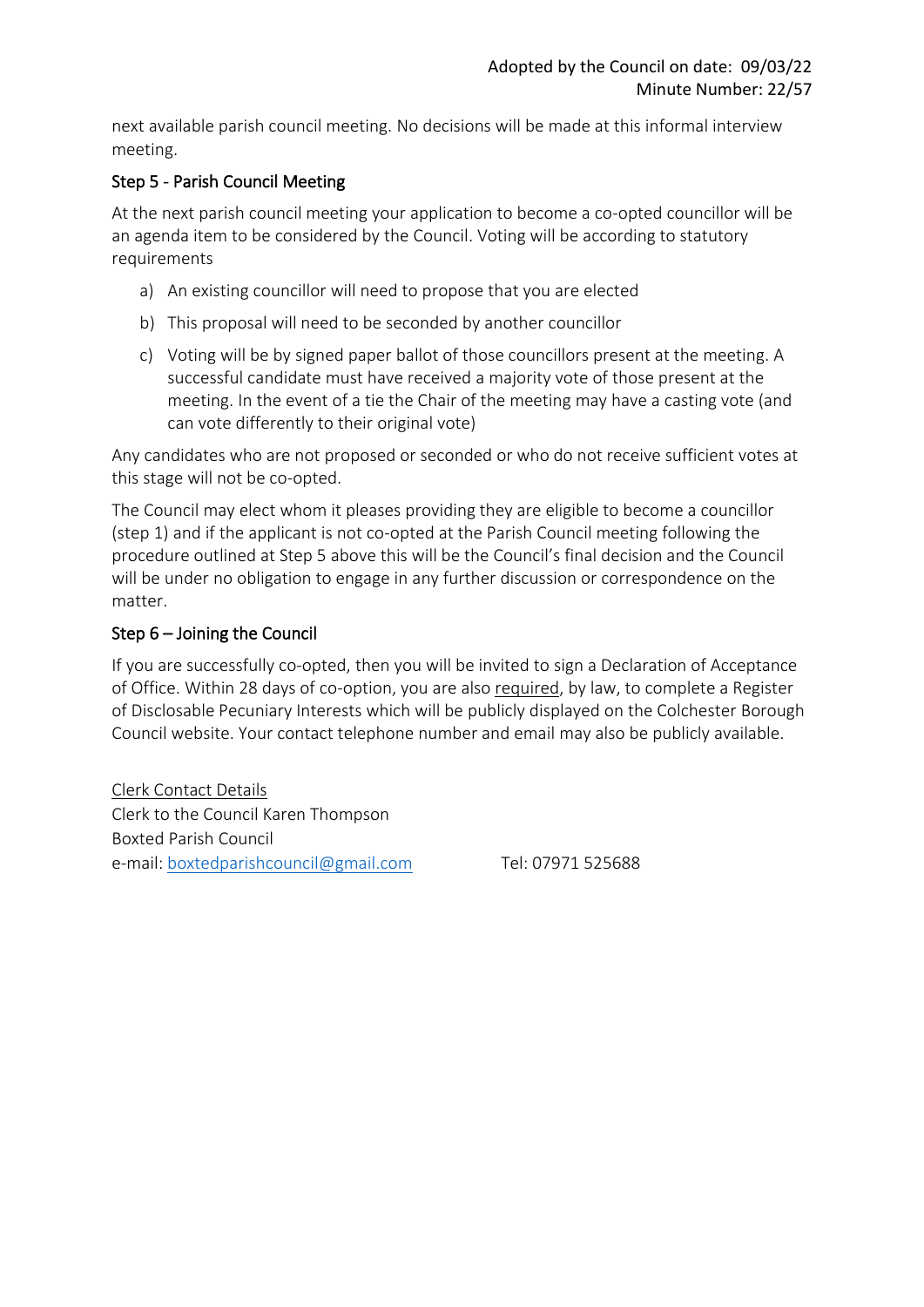next available parish council meeting. No decisions will be made at this informal interview meeting.

## Step 5 - Parish Council Meeting

At the next parish council meeting your application to become a co-opted councillor will be an agenda item to be considered by the Council. Voting will be according to statutory requirements

- a) An existing councillor will need to propose that you are elected
- b) This proposal will need to be seconded by another councillor
- c) Voting will be by signed paper ballot of those councillors present at the meeting. A successful candidate must have received a majority vote of those present at the meeting. In the event of a tie the Chair of the meeting may have a casting vote (and can vote differently to their original vote)

Any candidates who are not proposed or seconded or who do not receive sufficient votes at this stage will not be co-opted.

The Council may elect whom it pleases providing they are eligible to become a councillor (step 1) and if the applicant is not co-opted at the Parish Council meeting following the procedure outlined at Step 5 above this will be the Council's final decision and the Council will be under no obligation to engage in any further discussion or correspondence on the matter.

### Step 6 – Joining the Council

If you are successfully co-opted, then you will be invited to sign a Declaration of Acceptance of Office. Within 28 days of co-option, you are also required, by law, to complete a Register of Disclosable Pecuniary Interests which will be publicly displayed on the Colchester Borough Council website. Your contact telephone number and email may also be publicly available.

Clerk Contact Details Clerk to the Council Karen Thompson Boxted Parish Council e-mail: [boxtedparishcouncil@gmail.com](mailto:boxtedparishcouncil@gmail.com) Tel: 07971 525688